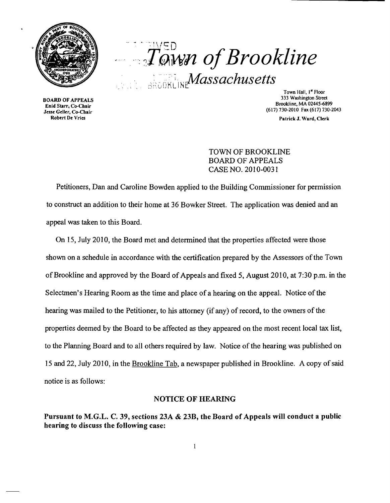

 $T^{\text{S}D}_{QWW}$  of Brookline **REGOKLINE Massachusetts** 

**3333 BOARD OF APPEALS**<br>534 Enid Starr, Co-Chair

Town Hall, 1<sup>"</sup> Floor<br>333 Washington Street Brookline, MA 02445-6899<br>
Enid Starr, Co-Chair<br>
Jesse Geller, Co-Chair<br>
State Geller, Co-Chair na Staff, Co-Chair<br>See Geller, Co-Chair<br>Robert De Vries

Patrick J. Ward, Clerk

## TOWN OF BROOKLINE BOARD OF APPEALS CASE NO. 2010-0031

Petitioners, Dan and Caroline Bowden applied to the Building Commissioner for permission to construct an addition to their home at 36 Bowker Street. The application was denied and an appeal was taken to this Board.

On 15, July 2010, the Board met and determined that the properties affected were those shown on a schedule in accordance with the certification prepared by the Assessors of the Town ofBrookline and approved by the Board of Appeals and fixed 5, August 2010, at 7:30 p.m, in the Selectmen's Hearing Room as the time and place of a hearing on the appeal. Notice of the hearing was mailed to the Petitioner, to his attorney (if any) of record, to the owners of the properties deemed by the Board to be affected as they appeared on the most recent local tax list, to the Planning Board and to all others required by law. Notice of the hearing was published on 15 and 22, July 2010, in the Brookline Tab, a newspaper published in Brookline. A copy ofsaid notice is as follows:

## NOTICE OF HEARING

Pursuant to M.G.L. C. 39, sections 23A & 23B, the Board of Appeals will conduct a public hearing to discuss the following case: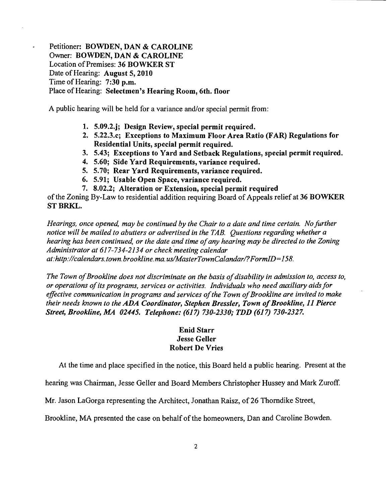Petitioner: BOWDEN, DAN & CAROLINE Owner: BOWDEN, DAN & CAROLINE Location of Premises: 36 BOWKER ST Date of Hearing: August 5, 2010 Time of Hearing: 7:30 p.m. Place of Hearing: Selectmen's Hearing Room, 6th. floor

A public hearing will be held for a variance and/or special permit from:

- 1. 5.09.2.j; Design Review, special permit required.
- 2. 5.22.3.c; Exceptions to Maximum Floor Area Ratio (FAR) Regulations for Residential Units, special permit required.
- 3. 5.43; Exceptions to Yard and Setback Regulations, special permit required.
- 4. 5.60; Side Yard Requirements, variance required.
- 5. 5.70; Rear Yard Requirements, variance required.
- 6. 5.91; Usable Open Space, variance required.
- 7. 8.02.2; Alteration or Extension, special permit required

of the Zoning By-Law to residential addition requiring Board of Appeals relief at 36 BOWKER ST BRKL.

*Hearings, once opened, may be continued by the Chair to a date and time certain. No further notice will be mailed to abutters or advertised in the TAB. Questions regarding whether a hearing has been continued, or the date and time ofany hearing may be directed to the Zoning Administrator at* 617-734-2134 *or check 'meeting calendar at:http://calendars.town.brookline.ma.usIMasterTownCalandarl?FormID=*158.

The Town of Brookline does not discriminate on the basis of disability in admission to, access to, *or operations ofits programs, services or activities. Individuals who need auxiliary aidsfor*  effective communication in programs and services of the Town of Brookline are invited to make *their needs known to the ADA Coordinator, Stephen Bressler, Town of Brookline, 11 Pierce Street, Brookline, MA 02445. Telephone:* (617) *730-2330,. TDD* (617) *730-2327.* 

## Enid Starr Jesse Geller Robert De Vries

At the time and place specified in the notice, this Board held a public hearing. Present at the

hearing was Chairman, Jesse Geller and Board Members Christopher Hussey and Mark Zuroff.

Mr. Jason LaGorga representing the Architect, Jonathan Raisz, of26 Thorndike Street,

Brookline, MA presented the case on behalf of the homeowners, Dan and Caroline Bowden.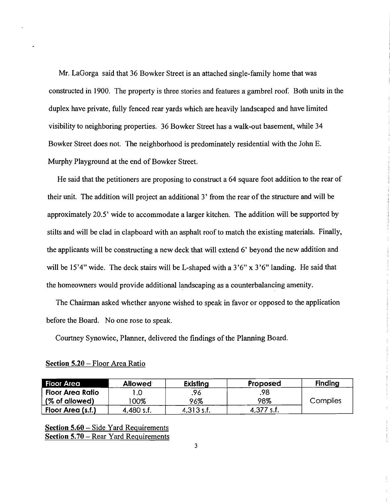Mr. LaGorga said that 36 Bowker Street is an attached single-family home that was constructed in 1900. The property is three stories and features a gambrel roof. Both units in the duplex have private, fully fenced rear yards which are heavily landscaped and have limited visibility to neighboring properties. 36 Bowker Street has a walk-out basement, while 34 Bowker Street does not. The neighborhood is predominately residential with the John E. Murphy Playground at the end of Bowker Street.

He said that the petitioners are proposing to construct a 64 square foot addition to the rear of their unit. The addition will project an additional 3' from the rear of the structure and will be approximately 20.5' wide to accommodate a larger kitchen. The addition will be supported by stilts and will be clad in clapboard with an asphalt roof to match the existing materials. Finally, the applicants will be constructing a new deck that will extend 6' beyond the new addition and will be 15'4" wide. The deck stairs will be L-shaped with a  $3'6''$  x  $3'6''$  landing. He said that the homeowners would provide additional landscaping as a counterbalancing amenity.

The Chairman asked whether anyone wished to speak in favor or opposed to the application before the Board. No one rose to speak.

Courtney Synowiec, Planner, delivered the findings of the Planning Board.

| <b>Floor Area</b>       | <b>Allowed</b> | <b>Existing</b> | Proposed     | <b>Finding</b>  |
|-------------------------|----------------|-----------------|--------------|-----------------|
| <b>Floor Area Ratio</b> |                | .96             | .98.         |                 |
| (% of allowed)          | $00\%$         | 96%             | 98%          | <b>Complies</b> |
| Floor Area (s.f.)       | 4,480 s.f.     | 4,313 s.f.      | $4,377$ s.f. |                 |

| Section 5.20 – Floor Area Ratio |  |  |
|---------------------------------|--|--|
|                                 |  |  |

Section 5.60 - Side Yard Requirements Section 5.70 - Rear Yard Requirements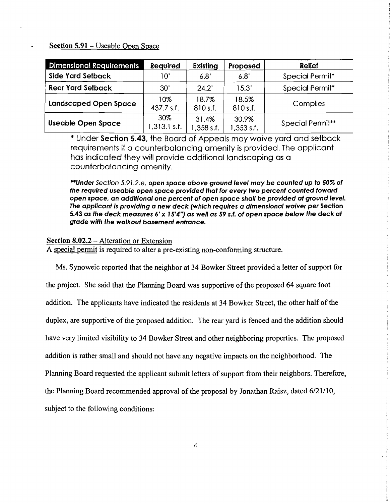Section 5.91 - Useable Open Space

| <b>Dimensional Requirements</b> | <b>Required</b>     | Existing            | Proposed              | <b>Relief</b>    |
|---------------------------------|---------------------|---------------------|-----------------------|------------------|
| Side Yard Setback               | 10'                 | 6.8'                | 6.8'                  | Special Permit*  |
| <b>Rear Yard Setback</b>        | 30'                 | 24.2'               | 15.3'                 | Special Permit*  |
| <b>Landscaped Open Space</b>    | 10%<br>437.7 s.f.   | 18.7%<br>810 s.f.   | 18.5%<br>810 s.f.     | Complies         |
| <b>Useable Open Space</b>       | 30%<br>1,313.1 s.f. | 31.4%<br>1,358 s.f. | 30.9%<br>$1,353$ s.f. | Special Permit** |

\* Under Section 5.43, the Board of Appeals may waive yard and setback requirements if a counterbalancing amenity is provided. The applicant has indicated they will provide additional landscaping as a counterbalancing amenity.

··Under Section 5.91.2.e, open space above ground level may be counted up to 50% of the required useable open space provided that for every two percent counted toward open space, an additional one percent of open space shall be provided at ground level. The applicant is providing a new deck (which requires a dimensional waiver per Section 5.43 as the deck measures 6' x 15'4") as well as 59 s.f. of open space below the deck at grade with the walkout basement entrance.

## Section 8.02.2 - Alteration or Extension

A special permit is required to alter a pre-existing non-conforming structure.

Ms. Synoweic reported that the neighbor at 34 Bowker Street provided a letter of support for

the project. She said that the Planning Board was supportive of the proposed 64 square foot addition. The applicants have indicated the residents at 34 Bowker Street, the other half of the duplex, are supportive of the proposed addition. The rear yard is fenced and the addition should have very limited visibility to 34 Bowker Street and other neighboring properties. The proposed addition is rather small and should not have any negative impacts on the neighborhood. The Planning Board requested the applicant submit letters of support from their neighbors. Therefore, the Planning Board recommended approval of the proposal by Jonathan Raisz, dated 6/21110, subject to the following conditions: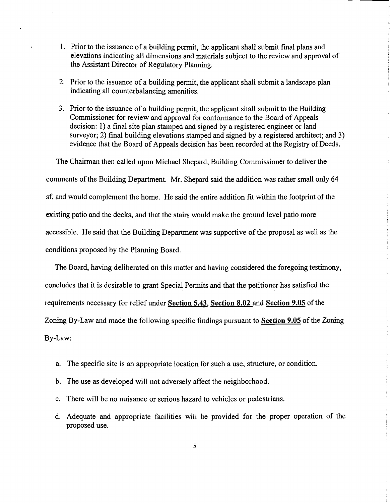- 1. Prior to the issuance of a building permit, the applicant shall submit final plans and elevations indicating all dimensions and materials subject to the review and approval of the Assistant Director of Regulatory Planning.
- 2. Prior to the issuance of a building permit, the applicant shall submit a landscape plan indicating all counterbalancing amenities.
- 3. Prior to the issuance of a building permit, the applicant shall submit to the Building Commissioner for review and approval for conformance to the Board of Appeals decision: 1) a final site plan stamped and signed by a registered engineer or land surveyor; 2) final building elevations stamped and signed by a registered architect; and 3) evidence that the Board of Appeals decision has been recorded at the Registry of Deeds.

The Chairman then called upon Michael Shepard, Building Commissioner to deliver the comments of the Building Department. Mr. Shepard said the addition was rather small only 64 sf. and would complement the home. He said the entire addition fit within the footprint of the existing patio and the decks, and that the stairs would make the ground level patio more accessible. He said that the Building Department was supportive of the proposal as well as the conditions proposed by the Planning Board.

The Board, having deliberated on this matter and having considered the foregoing testimony, concludes that it is desirable to grant Special Permits and that the petitioner has satisfied the requirements necessary for relief under Section 5.43, Section 8.02 and Section 9.05 of the Zoning By-Law and made the following specific findings pursuant to Section 9.05 of the Zoning By-Law:

- a. The specific site is an appropriate location for such a use, structure, or condition.
- b. The use as developed will not adversely affect the neighborhood.
- c. There will be no nuisance or serious hazard to vehicles or pedestrians.
- d. Adequate and appropriate facilities will be provided for the proper operation of the proposed use.